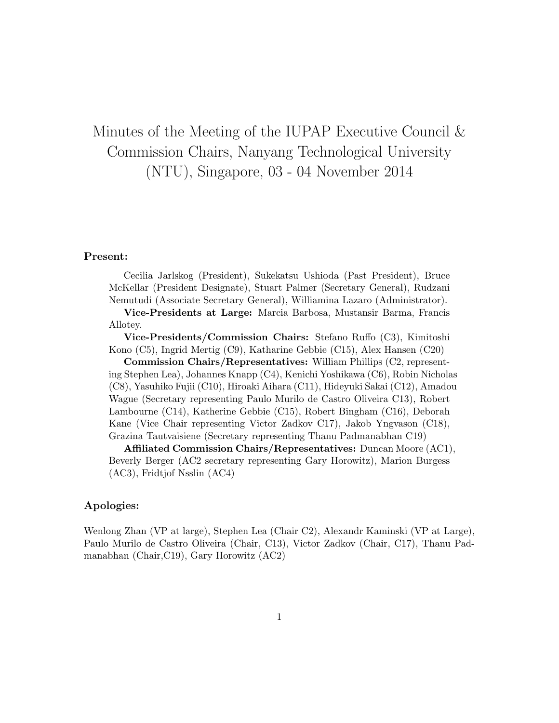# Minutes of the Meeting of the IUPAP Executive Council & Commission Chairs, Nanyang Technological University (NTU), Singapore, 03 - 04 November 2014

#### Present:

Cecilia Jarlskog (President), Sukekatsu Ushioda (Past President), Bruce McKellar (President Designate), Stuart Palmer (Secretary General), Rudzani Nemutudi (Associate Secretary General), Williamina Lazaro (Administrator).

Vice-Presidents at Large: Marcia Barbosa, Mustansir Barma, Francis Allotey.

Vice-Presidents/Commission Chairs: Stefano Ruffo (C3), Kimitoshi Kono (C5), Ingrid Mertig (C9), Katharine Gebbie (C15), Alex Hansen (C20)

Commission Chairs/Representatives: William Phillips (C2, representing Stephen Lea), Johannes Knapp (C4), Kenichi Yoshikawa (C6), Robin Nicholas (C8), Yasuhiko Fujii (C10), Hiroaki Aihara (C11), Hideyuki Sakai (C12), Amadou Wague (Secretary representing Paulo Murilo de Castro Oliveira C13), Robert Lambourne (C14), Katherine Gebbie (C15), Robert Bingham (C16), Deborah Kane (Vice Chair representing Victor Zadkov C17), Jakob Yngvason (C18), Grazina Tautvaisiene (Secretary representing Thanu Padmanabhan C19)

Affiliated Commission Chairs/Representatives: Duncan Moore (AC1), Beverly Berger (AC2 secretary representing Gary Horowitz), Marion Burgess (AC3), Fridtjof Nsslin (AC4)

#### Apologies:

Wenlong Zhan (VP at large), Stephen Lea (Chair C2), Alexandr Kaminski (VP at Large), Paulo Murilo de Castro Oliveira (Chair, C13), Victor Zadkov (Chair, C17), Thanu Padmanabhan (Chair,C19), Gary Horowitz (AC2)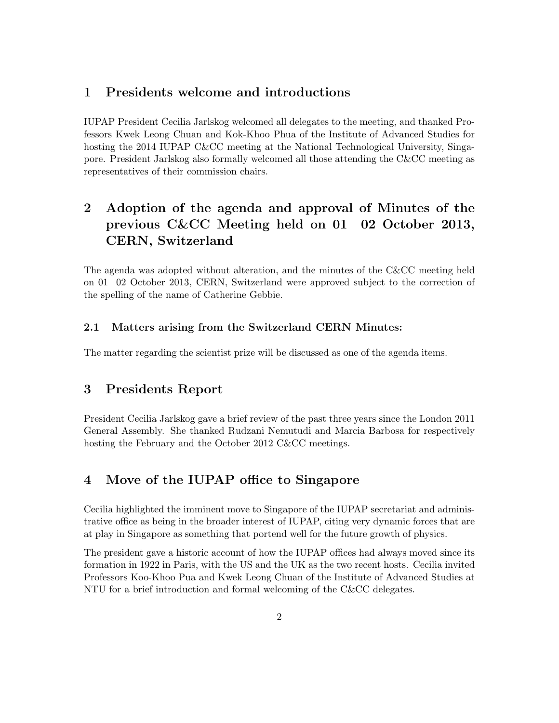### 1 Presidents welcome and introductions

IUPAP President Cecilia Jarlskog welcomed all delegates to the meeting, and thanked Professors Kwek Leong Chuan and Kok-Khoo Phua of the Institute of Advanced Studies for hosting the 2014 IUPAP C&CC meeting at the National Technological University, Singapore. President Jarlskog also formally welcomed all those attending the C&CC meeting as representatives of their commission chairs.

## 2 Adoption of the agenda and approval of Minutes of the previous C&CC Meeting held on 01 02 October 2013, CERN, Switzerland

The agenda was adopted without alteration, and the minutes of the C&CC meeting held on 01 02 October 2013, CERN, Switzerland were approved subject to the correction of the spelling of the name of Catherine Gebbie.

### 2.1 Matters arising from the Switzerland CERN Minutes:

The matter regarding the scientist prize will be discussed as one of the agenda items.

### 3 Presidents Report

President Cecilia Jarlskog gave a brief review of the past three years since the London 2011 General Assembly. She thanked Rudzani Nemutudi and Marcia Barbosa for respectively hosting the February and the October 2012 C&CC meetings.

### 4 Move of the IUPAP office to Singapore

Cecilia highlighted the imminent move to Singapore of the IUPAP secretariat and administrative office as being in the broader interest of IUPAP, citing very dynamic forces that are at play in Singapore as something that portend well for the future growth of physics.

The president gave a historic account of how the IUPAP offices had always moved since its formation in 1922 in Paris, with the US and the UK as the two recent hosts. Cecilia invited Professors Koo-Khoo Pua and Kwek Leong Chuan of the Institute of Advanced Studies at NTU for a brief introduction and formal welcoming of the C&CC delegates.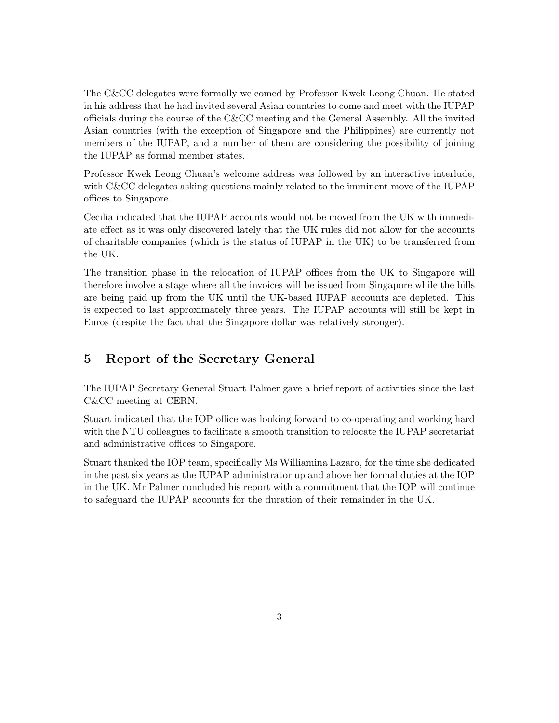The C&CC delegates were formally welcomed by Professor Kwek Leong Chuan. He stated in his address that he had invited several Asian countries to come and meet with the IUPAP officials during the course of the C&CC meeting and the General Assembly. All the invited Asian countries (with the exception of Singapore and the Philippines) are currently not members of the IUPAP, and a number of them are considering the possibility of joining the IUPAP as formal member states.

Professor Kwek Leong Chuan's welcome address was followed by an interactive interlude, with C&CC delegates asking questions mainly related to the imminent move of the IUPAP offices to Singapore.

Cecilia indicated that the IUPAP accounts would not be moved from the UK with immediate effect as it was only discovered lately that the UK rules did not allow for the accounts of charitable companies (which is the status of IUPAP in the UK) to be transferred from the UK.

The transition phase in the relocation of IUPAP offices from the UK to Singapore will therefore involve a stage where all the invoices will be issued from Singapore while the bills are being paid up from the UK until the UK-based IUPAP accounts are depleted. This is expected to last approximately three years. The IUPAP accounts will still be kept in Euros (despite the fact that the Singapore dollar was relatively stronger).

### 5 Report of the Secretary General

The IUPAP Secretary General Stuart Palmer gave a brief report of activities since the last C&CC meeting at CERN.

Stuart indicated that the IOP office was looking forward to co-operating and working hard with the NTU colleagues to facilitate a smooth transition to relocate the IUPAP secretariat and administrative offices to Singapore.

Stuart thanked the IOP team, specifically Ms Williamina Lazaro, for the time she dedicated in the past six years as the IUPAP administrator up and above her formal duties at the IOP in the UK. Mr Palmer concluded his report with a commitment that the IOP will continue to safeguard the IUPAP accounts for the duration of their remainder in the UK.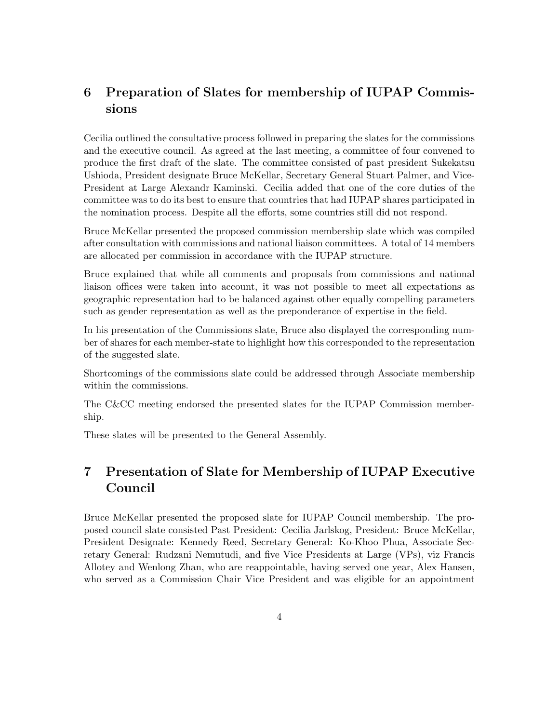## 6 Preparation of Slates for membership of IUPAP Commissions

Cecilia outlined the consultative process followed in preparing the slates for the commissions and the executive council. As agreed at the last meeting, a committee of four convened to produce the first draft of the slate. The committee consisted of past president Sukekatsu Ushioda, President designate Bruce McKellar, Secretary General Stuart Palmer, and Vice-President at Large Alexandr Kaminski. Cecilia added that one of the core duties of the committee was to do its best to ensure that countries that had IUPAP shares participated in the nomination process. Despite all the efforts, some countries still did not respond.

Bruce McKellar presented the proposed commission membership slate which was compiled after consultation with commissions and national liaison committees. A total of 14 members are allocated per commission in accordance with the IUPAP structure.

Bruce explained that while all comments and proposals from commissions and national liaison offices were taken into account, it was not possible to meet all expectations as geographic representation had to be balanced against other equally compelling parameters such as gender representation as well as the preponderance of expertise in the field.

In his presentation of the Commissions slate, Bruce also displayed the corresponding number of shares for each member-state to highlight how this corresponded to the representation of the suggested slate.

Shortcomings of the commissions slate could be addressed through Associate membership within the commissions.

The C&CC meeting endorsed the presented slates for the IUPAP Commission membership.

These slates will be presented to the General Assembly.

## 7 Presentation of Slate for Membership of IUPAP Executive Council

Bruce McKellar presented the proposed slate for IUPAP Council membership. The proposed council slate consisted Past President: Cecilia Jarlskog, President: Bruce McKellar, President Designate: Kennedy Reed, Secretary General: Ko-Khoo Phua, Associate Secretary General: Rudzani Nemutudi, and five Vice Presidents at Large (VPs), viz Francis Allotey and Wenlong Zhan, who are reappointable, having served one year, Alex Hansen, who served as a Commission Chair Vice President and was eligible for an appointment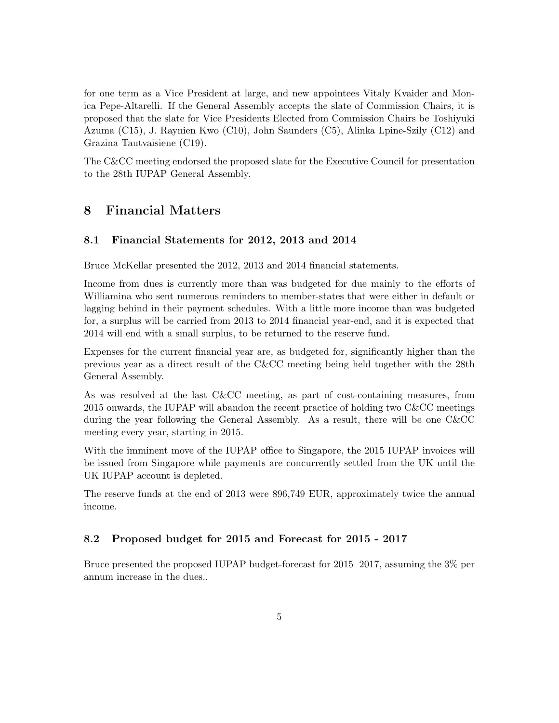for one term as a Vice President at large, and new appointees Vitaly Kvaider and Monica Pepe-Altarelli. If the General Assembly accepts the slate of Commission Chairs, it is proposed that the slate for Vice Presidents Elected from Commission Chairs be Toshiyuki Azuma (C15), J. Raynien Kwo (C10), John Saunders (C5), Alinka Lpine-Szily (C12) and Grazina Tautvaisiene (C19).

The C&CC meeting endorsed the proposed slate for the Executive Council for presentation to the 28th IUPAP General Assembly.

### 8 Financial Matters

### 8.1 Financial Statements for 2012, 2013 and 2014

Bruce McKellar presented the 2012, 2013 and 2014 financial statements.

Income from dues is currently more than was budgeted for due mainly to the efforts of Williamina who sent numerous reminders to member-states that were either in default or lagging behind in their payment schedules. With a little more income than was budgeted for, a surplus will be carried from 2013 to 2014 financial year-end, and it is expected that 2014 will end with a small surplus, to be returned to the reserve fund.

Expenses for the current financial year are, as budgeted for, significantly higher than the previous year as a direct result of the C&CC meeting being held together with the 28th General Assembly.

As was resolved at the last C&CC meeting, as part of cost-containing measures, from 2015 onwards, the IUPAP will abandon the recent practice of holding two C&CC meetings during the year following the General Assembly. As a result, there will be one C&CC meeting every year, starting in 2015.

With the imminent move of the IUPAP office to Singapore, the 2015 IUPAP invoices will be issued from Singapore while payments are concurrently settled from the UK until the UK IUPAP account is depleted.

The reserve funds at the end of 2013 were 896,749 EUR, approximately twice the annual income.

#### 8.2 Proposed budget for 2015 and Forecast for 2015 - 2017

Bruce presented the proposed IUPAP budget-forecast for 2015 2017, assuming the 3% per annum increase in the dues..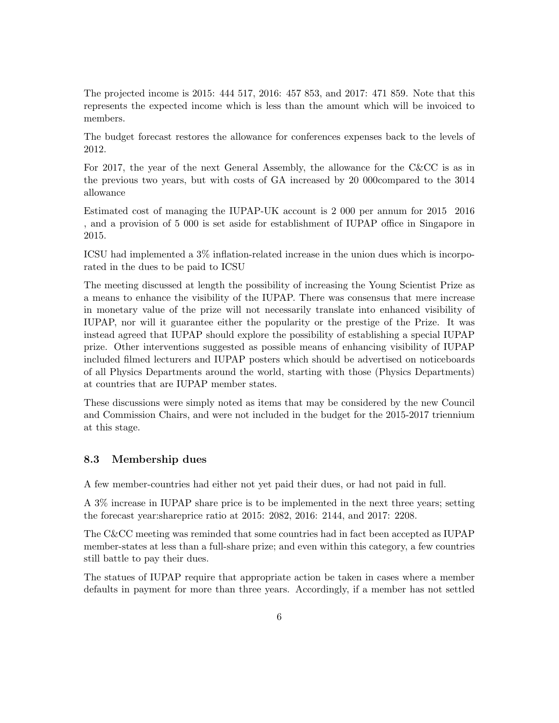The projected income is 2015: 444 517, 2016: 457 853, and 2017: 471 859. Note that this represents the expected income which is less than the amount which will be invoiced to members.

The budget forecast restores the allowance for conferences expenses back to the levels of 2012.

For 2017, the year of the next General Assembly, the allowance for the C&CC is as in the previous two years, but with costs of GA increased by 20 000compared to the 3014 allowance

Estimated cost of managing the IUPAP-UK account is 2 000 per annum for 2015 2016 , and a provision of 5 000 is set aside for establishment of IUPAP office in Singapore in 2015.

ICSU had implemented a 3% inflation-related increase in the union dues which is incorporated in the dues to be paid to ICSU

The meeting discussed at length the possibility of increasing the Young Scientist Prize as a means to enhance the visibility of the IUPAP. There was consensus that mere increase in monetary value of the prize will not necessarily translate into enhanced visibility of IUPAP, nor will it guarantee either the popularity or the prestige of the Prize. It was instead agreed that IUPAP should explore the possibility of establishing a special IUPAP prize. Other interventions suggested as possible means of enhancing visibility of IUPAP included filmed lecturers and IUPAP posters which should be advertised on noticeboards of all Physics Departments around the world, starting with those (Physics Departments) at countries that are IUPAP member states.

These discussions were simply noted as items that may be considered by the new Council and Commission Chairs, and were not included in the budget for the 2015-2017 triennium at this stage.

#### 8.3 Membership dues

A few member-countries had either not yet paid their dues, or had not paid in full.

A 3% increase in IUPAP share price is to be implemented in the next three years; setting the forecast year:shareprice ratio at 2015: 2082, 2016: 2144, and 2017: 2208.

The C&CC meeting was reminded that some countries had in fact been accepted as IUPAP member-states at less than a full-share prize; and even within this category, a few countries still battle to pay their dues.

The statues of IUPAP require that appropriate action be taken in cases where a member defaults in payment for more than three years. Accordingly, if a member has not settled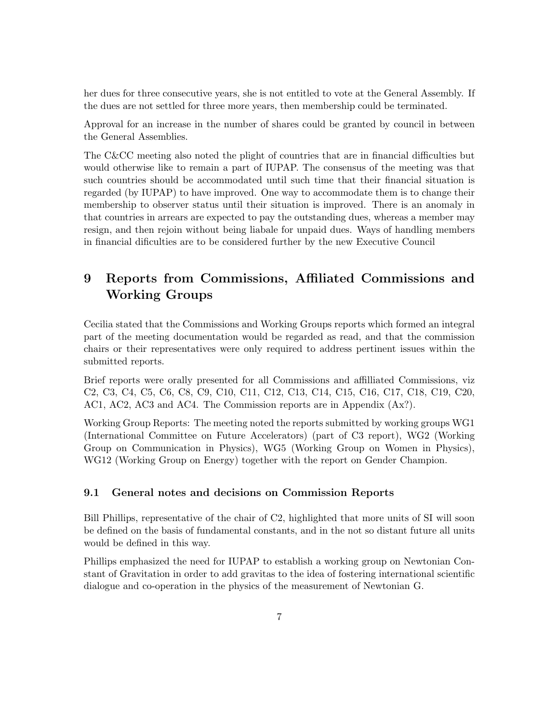her dues for three consecutive years, she is not entitled to vote at the General Assembly. If the dues are not settled for three more years, then membership could be terminated.

Approval for an increase in the number of shares could be granted by council in between the General Assemblies.

The C&CC meeting also noted the plight of countries that are in financial difficulties but would otherwise like to remain a part of IUPAP. The consensus of the meeting was that such countries should be accommodated until such time that their financial situation is regarded (by IUPAP) to have improved. One way to accommodate them is to change their membership to observer status until their situation is improved. There is an anomaly in that countries in arrears are expected to pay the outstanding dues, whereas a member may resign, and then rejoin without being liabale for unpaid dues. Ways of handling members in financial dificulties are to be considered further by the new Executive Council

## 9 Reports from Commissions, Affiliated Commissions and Working Groups

Cecilia stated that the Commissions and Working Groups reports which formed an integral part of the meeting documentation would be regarded as read, and that the commission chairs or their representatives were only required to address pertinent issues within the submitted reports.

Brief reports were orally presented for all Commissions and affilliated Commissions, viz C2, C3, C4, C5, C6, C8, C9, C10, C11, C12, C13, C14, C15, C16, C17, C18, C19, C20, AC1, AC2, AC3 and AC4. The Commission reports are in Appendix (Ax?).

Working Group Reports: The meeting noted the reports submitted by working groups WG1 (International Committee on Future Accelerators) (part of C3 report), WG2 (Working Group on Communication in Physics), WG5 (Working Group on Women in Physics), WG12 (Working Group on Energy) together with the report on Gender Champion.

### 9.1 General notes and decisions on Commission Reports

Bill Phillips, representative of the chair of C2, highlighted that more units of SI will soon be defined on the basis of fundamental constants, and in the not so distant future all units would be defined in this way.

Phillips emphasized the need for IUPAP to establish a working group on Newtonian Constant of Gravitation in order to add gravitas to the idea of fostering international scientific dialogue and co-operation in the physics of the measurement of Newtonian G.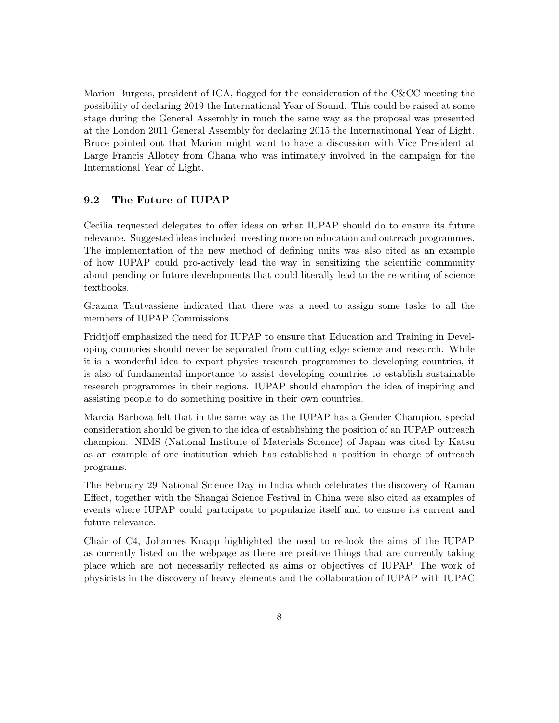Marion Burgess, president of ICA, flagged for the consideration of the C&CC meeting the possibility of declaring 2019 the International Year of Sound. This could be raised at some stage during the General Assembly in much the same way as the proposal was presented at the London 2011 General Assembly for declaring 2015 the Internatiuonal Year of Light. Bruce pointed out that Marion might want to have a discussion with Vice President at Large Francis Allotey from Ghana who was intimately involved in the campaign for the International Year of Light.

### 9.2 The Future of IUPAP

Cecilia requested delegates to offer ideas on what IUPAP should do to ensure its future relevance. Suggested ideas included investing more on education and outreach programmes. The implementation of the new method of defining units was also cited as an example of how IUPAP could pro-actively lead the way in sensitizing the scientific community about pending or future developments that could literally lead to the re-writing of science textbooks.

Grazina Tautvassiene indicated that there was a need to assign some tasks to all the members of IUPAP Commissions.

Fridtjoff emphasized the need for IUPAP to ensure that Education and Training in Developing countries should never be separated from cutting edge science and research. While it is a wonderful idea to export physics research programmes to developing countries, it is also of fundamental importance to assist developing countries to establish sustainable research programmes in their regions. IUPAP should champion the idea of inspiring and assisting people to do something positive in their own countries.

Marcia Barboza felt that in the same way as the IUPAP has a Gender Champion, special consideration should be given to the idea of establishing the position of an IUPAP outreach champion. NIMS (National Institute of Materials Science) of Japan was cited by Katsu as an example of one institution which has established a position in charge of outreach programs.

The February 29 National Science Day in India which celebrates the discovery of Raman Effect, together with the Shangai Science Festival in China were also cited as examples of events where IUPAP could participate to popularize itself and to ensure its current and future relevance.

Chair of C4, Johannes Knapp highlighted the need to re-look the aims of the IUPAP as currently listed on the webpage as there are positive things that are currently taking place which are not necessarily reflected as aims or objectives of IUPAP. The work of physicists in the discovery of heavy elements and the collaboration of IUPAP with IUPAC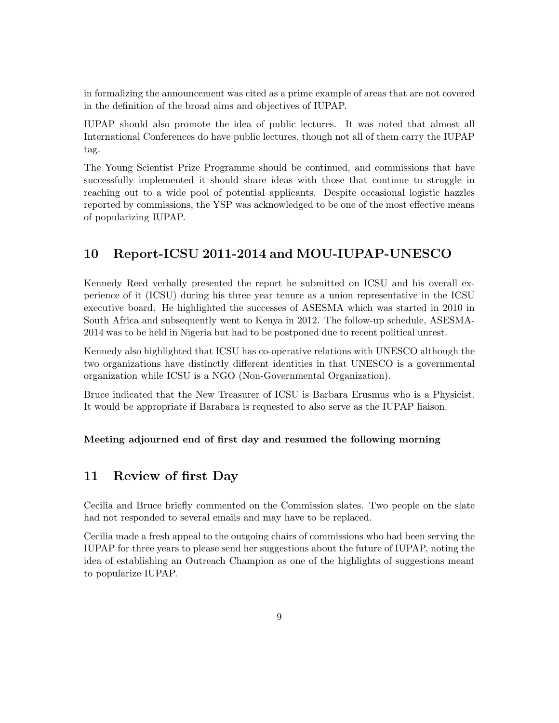in formalizing the announcement was cited as a prime example of areas that are not covered in the definition of the broad aims and objectives of IUPAP.

IUPAP should also promote the idea of public lectures. It was noted that almost all International Conferences do have public lectures, though not all of them carry the IUPAP tag.

The Young Scientist Prize Programme should be continued, and commissions that have successfully implemented it should share ideas with those that continue to struggle in reaching out to a wide pool of potential applicants. Despite occasional logistic hazzles reported by commissions, the YSP was acknowledged to be one of the most effective means of popularizing IUPAP.

### 10 Report-ICSU 2011-2014 and MOU-IUPAP-UNESCO

Kennedy Reed verbally presented the report he submitted on ICSU and his overall experience of it (ICSU) during his three year tenure as a union representative in the ICSU executive board. He highlighted the successes of ASESMA which was started in 2010 in South Africa and subsequently went to Kenya in 2012. The follow-up schedule, ASESMA-2014 was to be held in Nigeria but had to be postponed due to recent political unrest.

Kennedy also highlighted that ICSU has co-operative relations with UNESCO although the two organizations have distinctly different identities in that UNESCO is a governmental organization while ICSU is a NGO (Non-Governmental Organization).

Bruce indicated that the New Treasurer of ICSU is Barbara Erusmus who is a Physicist. It would be appropriate if Barabara is requested to also serve as the IUPAP liaison.

#### Meeting adjourned end of first day and resumed the following morning

### 11 Review of first Day

Cecilia and Bruce briefly commented on the Commission slates. Two people on the slate had not responded to several emails and may have to be replaced.

Cecilia made a fresh appeal to the outgoing chairs of commissions who had been serving the IUPAP for three years to please send her suggestions about the future of IUPAP, noting the idea of establishing an Outreach Champion as one of the highlights of suggestions meant to popularize IUPAP.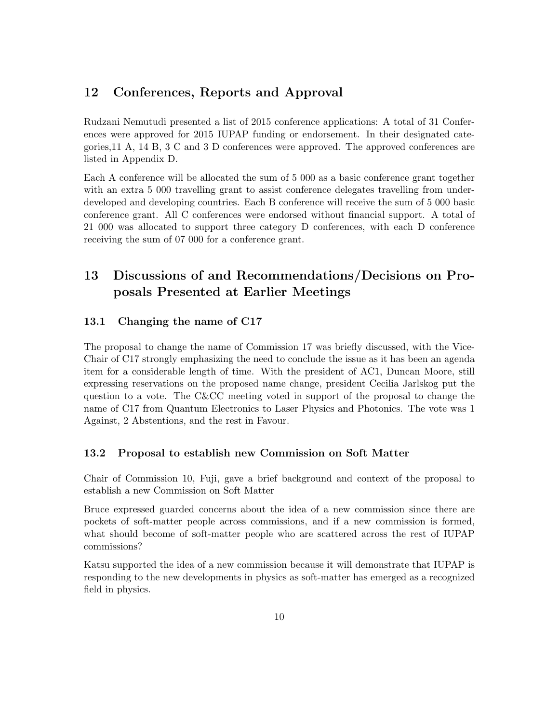### 12 Conferences, Reports and Approval

Rudzani Nemutudi presented a list of 2015 conference applications: A total of 31 Conferences were approved for 2015 IUPAP funding or endorsement. In their designated categories,11 A, 14 B, 3 C and 3 D conferences were approved. The approved conferences are listed in Appendix D.

Each A conference will be allocated the sum of 5 000 as a basic conference grant together with an extra 5 000 travelling grant to assist conference delegates travelling from underdeveloped and developing countries. Each B conference will receive the sum of 5 000 basic conference grant. All C conferences were endorsed without financial support. A total of 21 000 was allocated to support three category D conferences, with each D conference receiving the sum of 07 000 for a conference grant.

## 13 Discussions of and Recommendations/Decisions on Proposals Presented at Earlier Meetings

### 13.1 Changing the name of C17

The proposal to change the name of Commission 17 was briefly discussed, with the Vice-Chair of C17 strongly emphasizing the need to conclude the issue as it has been an agenda item for a considerable length of time. With the president of AC1, Duncan Moore, still expressing reservations on the proposed name change, president Cecilia Jarlskog put the question to a vote. The C&CC meeting voted in support of the proposal to change the name of C17 from Quantum Electronics to Laser Physics and Photonics. The vote was 1 Against, 2 Abstentions, and the rest in Favour.

#### 13.2 Proposal to establish new Commission on Soft Matter

Chair of Commission 10, Fuji, gave a brief background and context of the proposal to establish a new Commission on Soft Matter

Bruce expressed guarded concerns about the idea of a new commission since there are pockets of soft-matter people across commissions, and if a new commission is formed, what should become of soft-matter people who are scattered across the rest of IUPAP commissions?

Katsu supported the idea of a new commission because it will demonstrate that IUPAP is responding to the new developments in physics as soft-matter has emerged as a recognized field in physics.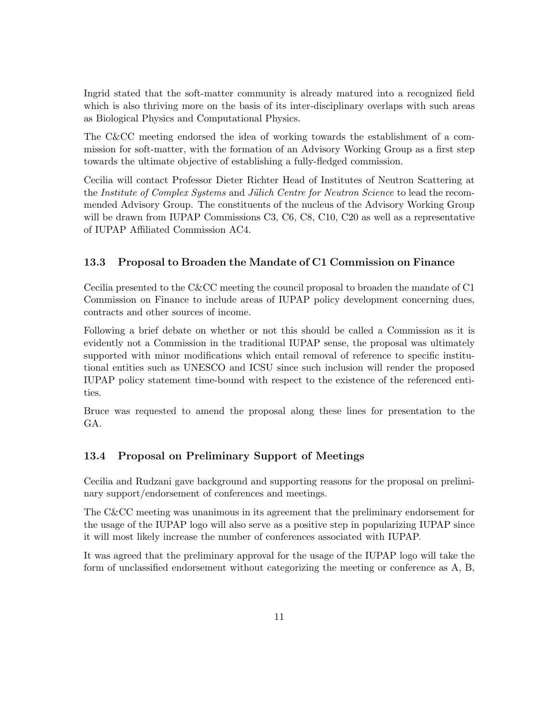Ingrid stated that the soft-matter community is already matured into a recognized field which is also thriving more on the basis of its inter-disciplinary overlaps with such areas as Biological Physics and Computational Physics.

The C&CC meeting endorsed the idea of working towards the establishment of a commission for soft-matter, with the formation of an Advisory Working Group as a first step towards the ultimate objective of establishing a fully-fledged commission.

Cecilia will contact Professor Dieter Richter Head of Institutes of Neutron Scattering at the Institute of Complex Systems and Jülich Centre for Neutron Science to lead the recommended Advisory Group. The constituents of the nucleus of the Advisory Working Group will be drawn from IUPAP Commissions C3, C6, C8, C10, C20 as well as a representative of IUPAP Affiliated Commission AC4.

#### 13.3 Proposal to Broaden the Mandate of C1 Commission on Finance

Cecilia presented to the C&CC meeting the council proposal to broaden the mandate of C1 Commission on Finance to include areas of IUPAP policy development concerning dues, contracts and other sources of income.

Following a brief debate on whether or not this should be called a Commission as it is evidently not a Commission in the traditional IUPAP sense, the proposal was ultimately supported with minor modifications which entail removal of reference to specific institutional entities such as UNESCO and ICSU since such inclusion will render the proposed IUPAP policy statement time-bound with respect to the existence of the referenced entities.

Bruce was requested to amend the proposal along these lines for presentation to the GA.

### 13.4 Proposal on Preliminary Support of Meetings

Cecilia and Rudzani gave background and supporting reasons for the proposal on preliminary support/endorsement of conferences and meetings.

The C&CC meeting was unanimous in its agreement that the preliminary endorsement for the usage of the IUPAP logo will also serve as a positive step in popularizing IUPAP since it will most likely increase the number of conferences associated with IUPAP.

It was agreed that the preliminary approval for the usage of the IUPAP logo will take the form of unclassified endorsement without categorizing the meeting or conference as A, B,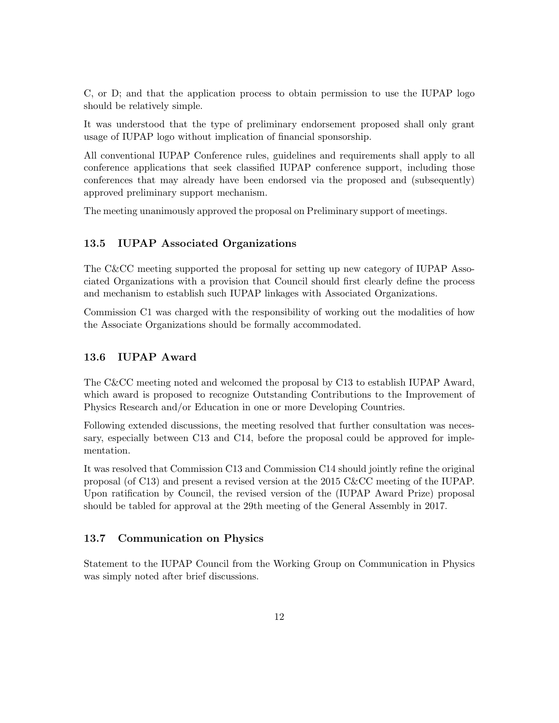C, or D; and that the application process to obtain permission to use the IUPAP logo should be relatively simple.

It was understood that the type of preliminary endorsement proposed shall only grant usage of IUPAP logo without implication of financial sponsorship.

All conventional IUPAP Conference rules, guidelines and requirements shall apply to all conference applications that seek classified IUPAP conference support, including those conferences that may already have been endorsed via the proposed and (subsequently) approved preliminary support mechanism.

The meeting unanimously approved the proposal on Preliminary support of meetings.

#### 13.5 IUPAP Associated Organizations

The C&CC meeting supported the proposal for setting up new category of IUPAP Associated Organizations with a provision that Council should first clearly define the process and mechanism to establish such IUPAP linkages with Associated Organizations.

Commission C1 was charged with the responsibility of working out the modalities of how the Associate Organizations should be formally accommodated.

### 13.6 IUPAP Award

The C&CC meeting noted and welcomed the proposal by C13 to establish IUPAP Award, which award is proposed to recognize Outstanding Contributions to the Improvement of Physics Research and/or Education in one or more Developing Countries.

Following extended discussions, the meeting resolved that further consultation was necessary, especially between C13 and C14, before the proposal could be approved for implementation.

It was resolved that Commission C13 and Commission C14 should jointly refine the original proposal (of C13) and present a revised version at the 2015 C&CC meeting of the IUPAP. Upon ratification by Council, the revised version of the (IUPAP Award Prize) proposal should be tabled for approval at the 29th meeting of the General Assembly in 2017.

#### 13.7 Communication on Physics

Statement to the IUPAP Council from the Working Group on Communication in Physics was simply noted after brief discussions.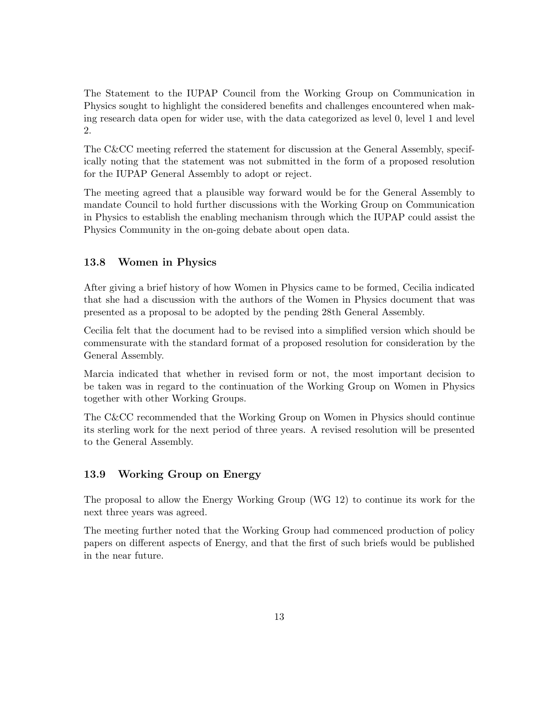The Statement to the IUPAP Council from the Working Group on Communication in Physics sought to highlight the considered benefits and challenges encountered when making research data open for wider use, with the data categorized as level 0, level 1 and level 2.

The C&CC meeting referred the statement for discussion at the General Assembly, specifically noting that the statement was not submitted in the form of a proposed resolution for the IUPAP General Assembly to adopt or reject.

The meeting agreed that a plausible way forward would be for the General Assembly to mandate Council to hold further discussions with the Working Group on Communication in Physics to establish the enabling mechanism through which the IUPAP could assist the Physics Community in the on-going debate about open data.

#### 13.8 Women in Physics

After giving a brief history of how Women in Physics came to be formed, Cecilia indicated that she had a discussion with the authors of the Women in Physics document that was presented as a proposal to be adopted by the pending 28th General Assembly.

Cecilia felt that the document had to be revised into a simplified version which should be commensurate with the standard format of a proposed resolution for consideration by the General Assembly.

Marcia indicated that whether in revised form or not, the most important decision to be taken was in regard to the continuation of the Working Group on Women in Physics together with other Working Groups.

The C&CC recommended that the Working Group on Women in Physics should continue its sterling work for the next period of three years. A revised resolution will be presented to the General Assembly.

#### 13.9 Working Group on Energy

The proposal to allow the Energy Working Group (WG 12) to continue its work for the next three years was agreed.

The meeting further noted that the Working Group had commenced production of policy papers on different aspects of Energy, and that the first of such briefs would be published in the near future.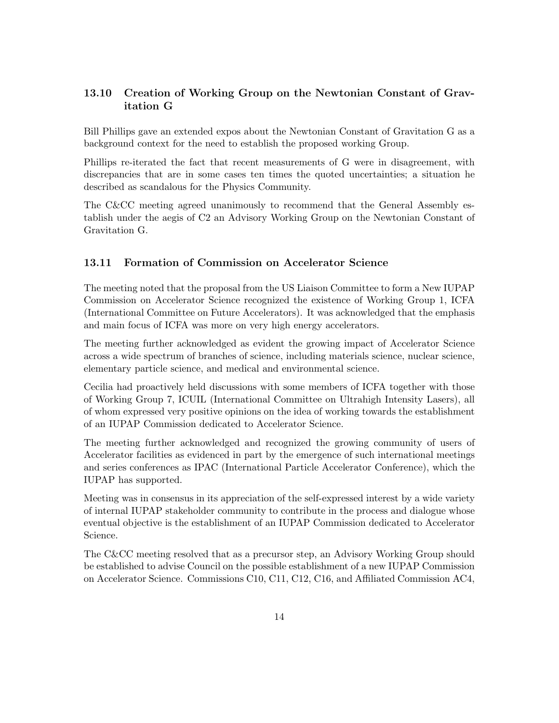### 13.10 Creation of Working Group on the Newtonian Constant of Gravitation G

Bill Phillips gave an extended expos about the Newtonian Constant of Gravitation G as a background context for the need to establish the proposed working Group.

Phillips re-iterated the fact that recent measurements of G were in disagreement, with discrepancies that are in some cases ten times the quoted uncertainties; a situation he described as scandalous for the Physics Community.

The C&CC meeting agreed unanimously to recommend that the General Assembly establish under the aegis of C2 an Advisory Working Group on the Newtonian Constant of Gravitation G.

### 13.11 Formation of Commission on Accelerator Science

The meeting noted that the proposal from the US Liaison Committee to form a New IUPAP Commission on Accelerator Science recognized the existence of Working Group 1, ICFA (International Committee on Future Accelerators). It was acknowledged that the emphasis and main focus of ICFA was more on very high energy accelerators.

The meeting further acknowledged as evident the growing impact of Accelerator Science across a wide spectrum of branches of science, including materials science, nuclear science, elementary particle science, and medical and environmental science.

Cecilia had proactively held discussions with some members of ICFA together with those of Working Group 7, ICUIL (International Committee on Ultrahigh Intensity Lasers), all of whom expressed very positive opinions on the idea of working towards the establishment of an IUPAP Commission dedicated to Accelerator Science.

The meeting further acknowledged and recognized the growing community of users of Accelerator facilities as evidenced in part by the emergence of such international meetings and series conferences as IPAC (International Particle Accelerator Conference), which the IUPAP has supported.

Meeting was in consensus in its appreciation of the self-expressed interest by a wide variety of internal IUPAP stakeholder community to contribute in the process and dialogue whose eventual objective is the establishment of an IUPAP Commission dedicated to Accelerator Science.

The C&CC meeting resolved that as a precursor step, an Advisory Working Group should be established to advise Council on the possible establishment of a new IUPAP Commission on Accelerator Science. Commissions C10, C11, C12, C16, and Affiliated Commission AC4,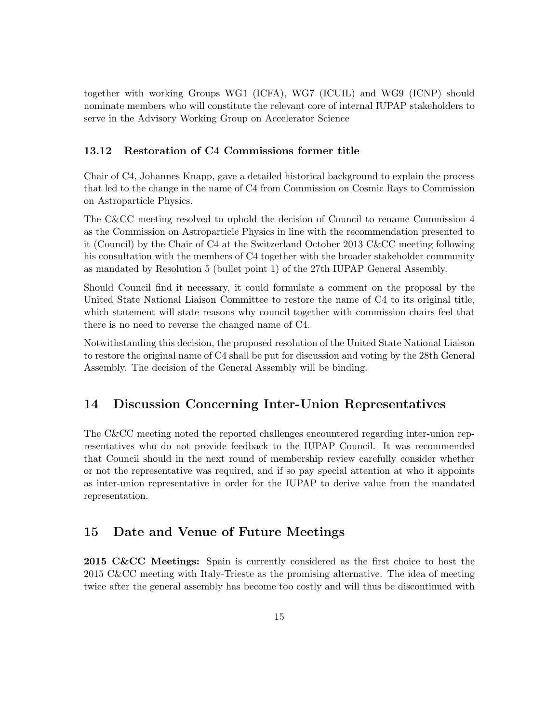together with working Groups WG1 (ICFA), WG7 (ICUIL) and WG9 (ICNP) should nominate members who will constitute the relevant core of internal IUPAP stakeholders to serve in the Advisory Working Group on Accelerator Science

### 13.12 Restoration of C4 Commissions former title

Chair of C4, Johannes Knapp, gave a detailed historical background to explain the process that led to the change in the name of C4 from Commission on Cosmic Rays to Commission on Astroparticle Physics.

The C&CC meeting resolved to uphold the decision of Council to rename Commission 4 as the Commission on Astroparticle Physics in line with the recommendation presented to it (Council) by the Chair of C4 at the Switzerland October 2013 C&CC meeting following his consultation with the members of C4 together with the broader stakeholder community as mandated by Resolution 5 (bullet point 1) of the 27th IUPAP General Assembly.

Should Council find it necessary, it could formulate a comment on the proposal by the United State National Liaison Committee to restore the name of C4 to its original title, which statement will state reasons why council together with commission chairs feel that there is no need to reverse the changed name of C4.

Notwithstanding this decision, the proposed resolution of the United State National Liaison to restore the original name of C4 shall be put for discussion and voting by the 28th General Assembly. The decision of the General Assembly will be binding.

### 14 Discussion Concerning Inter-Union Representatives

The C&CC meeting noted the reported challenges encountered regarding inter-union representatives who do not provide feedback to the IUPAP Council. It was recommended that Council should in the next round of membership review carefully consider whether or not the representative was required, and if so pay special attention at who it appoints as inter-union representative in order for the IUPAP to derive value from the mandated representation.

### 15 Date and Venue of Future Meetings

2015 C&CC Meetings: Spain is currently considered as the first choice to host the 2015 C&CC meeting with Italy-Trieste as the promising alternative. The idea of meeting twice after the general assembly has become too costly and will thus be discontinued with